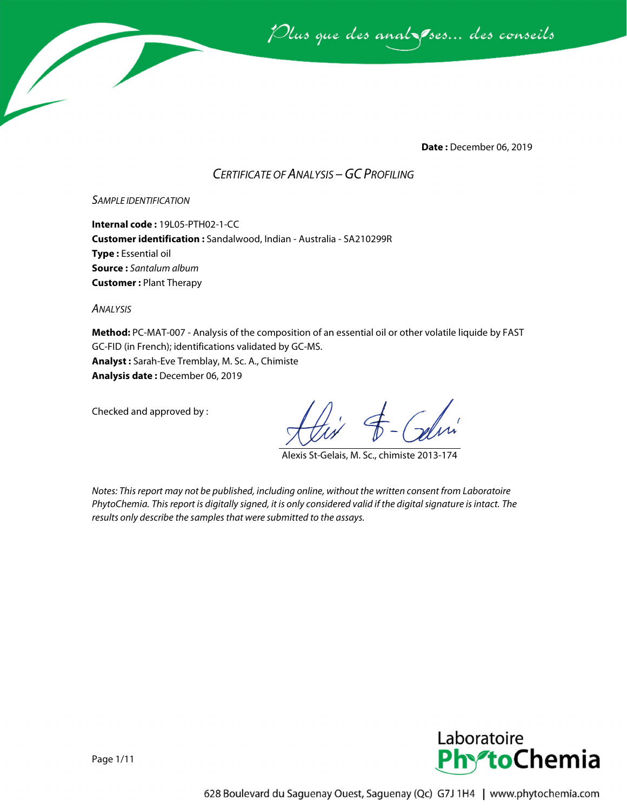Plus que des anal ses... des conseils

**Date :** December 06, 2019

### *CERTIFICATE OF ANALYSIS –GC PROFILING*

#### *SAMPLE IDENTIFICATION*

**Internal code :** 19L05-PTH02-1-CC **Customer identification :** Sandalwood, Indian - Australia - SA210299R **Type :** Essential oil **Source :** *Santalum album* **Customer :** Plant Therapy

*ANALYSIS*

**Method:** PC-MAT-007 - Analysis of the composition of an essential oil or other volatile liquide by FAST GC-FID (in French); identifications validated by GC-MS. **Analyst :** Sarah-Eve Tremblay, M. Sc. A., Chimiste **Analysis date :** December 06, 2019

Checked and approved by :

Alexis St-Gelais, M. Sc., chimiste 2013-174

*Notes: This report may not be published, including online, without the written consent from Laboratoire PhytoChemia. This report is digitally signed, it is only considered valid if the digital signature is intact. The results only describe the samples that were submitted to the assays.*

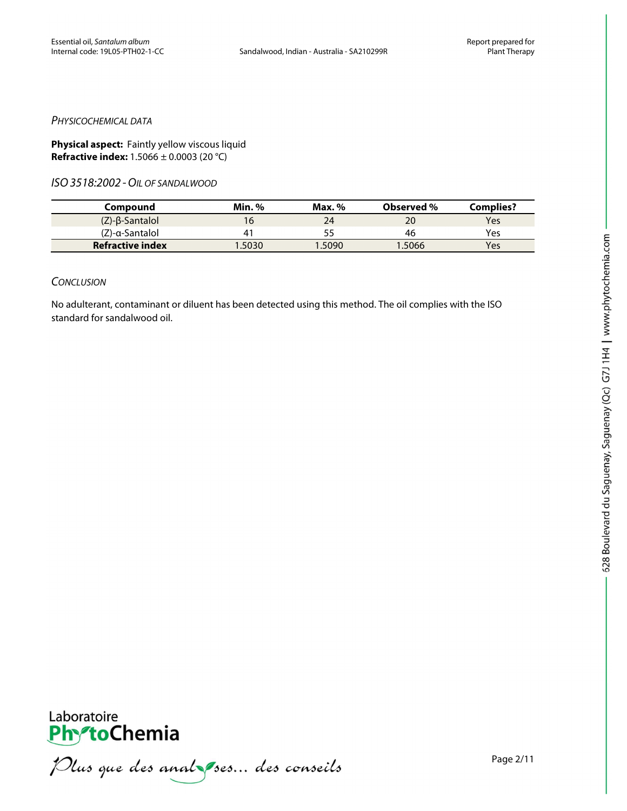#### *PHYSICOCHEMICAL DATA*

**Physical aspect:** Faintly yellow viscous liquid **Refractive index:** 1.5066 ± 0.0003 (20 °C)

*ISO3518:2002 -OIL OF SANDALWOOD*

| Compound                  | <b>Min. %</b> | Max. % | <b>Observed</b> % | Complies? |
|---------------------------|---------------|--------|-------------------|-----------|
| $(Z)$ - $\beta$ -Santalol |               | 24     | 20                | Yes       |
| (Ζ)-α-Santalol            | 4             |        | 46                | Yes       |
| <b>Refractive index</b>   | .5030         | 1.5090 | 1.5066            | Yes       |

#### *CONCLUSION*

No adulterant, contaminant or diluent has been detected using this method. The oil complies with the ISO standard for sandalwood oil.



PhytoChemia<br>PhytoChemia<br>*Plus que des analyses... des conseils*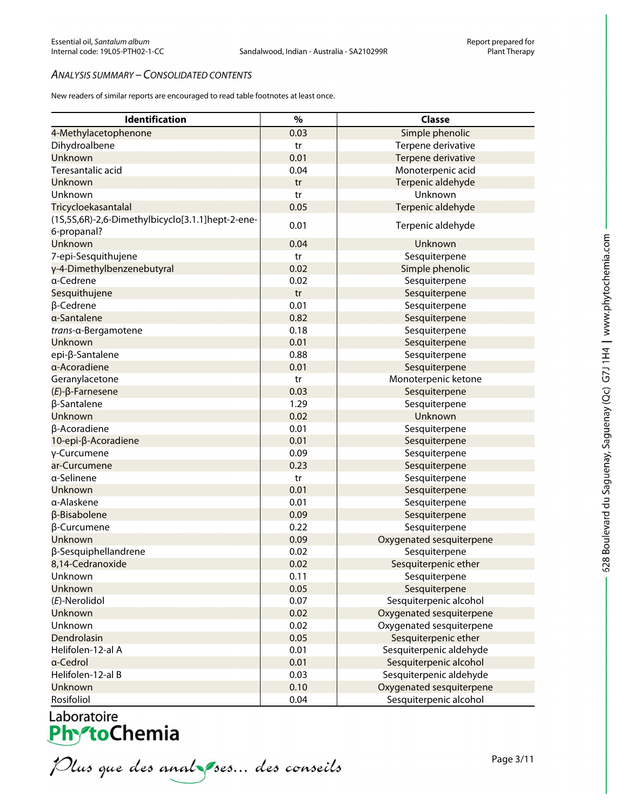#### *ANALYSIS SUMMARY – CONSOLIDATED CONTENTS*

New readers of similar reports are encouraged to read table footnotes at least once.

| Identification                                   | %    | <b>Classe</b>            |
|--------------------------------------------------|------|--------------------------|
| 4-Methylacetophenone                             | 0.03 | Simple phenolic          |
| Dihydroalbene                                    | tr   | Terpene derivative       |
| Unknown                                          | 0.01 | Terpene derivative       |
| Teresantalic acid                                | 0.04 | Monoterpenic acid        |
| Unknown                                          | tr   | Terpenic aldehyde        |
| Unknown                                          | tr   | Unknown                  |
| Tricycloekasantalal                              | 0.05 | Terpenic aldehyde        |
| (1S,5S,6R)-2,6-Dimethylbicyclo[3.1.1]hept-2-ene- |      |                          |
| 6-propanal?                                      | 0.01 | Terpenic aldehyde        |
| Unknown                                          | 0.04 | Unknown                  |
| 7-epi-Sesquithujene                              | tr   | Sesquiterpene            |
| γ-4-Dimethylbenzenebutyral                       | 0.02 | Simple phenolic          |
| a-Cedrene                                        | 0.02 | Sesquiterpene            |
| Sesquithujene                                    | tr   | Sesquiterpene            |
| $\beta$ -Cedrene                                 | 0.01 | Sesquiterpene            |
| a-Santalene                                      | 0.82 | Sesquiterpene            |
| trans-a-Bergamotene                              | 0.18 | Sesquiterpene            |
| Unknown                                          | 0.01 | Sesquiterpene            |
| epi-β-Santalene                                  | 0.88 | Sesquiterpene            |
| a-Acoradiene                                     | 0.01 | Sesquiterpene            |
| Geranylacetone                                   | tr   | Monoterpenic ketone      |
| $(E)$ - $\beta$ -Farnesene                       | 0.03 | Sesquiterpene            |
| β-Santalene                                      | 1.29 | Sesquiterpene            |
| Unknown                                          | 0.02 | Unknown                  |
| β-Acoradiene                                     | 0.01 | Sesquiterpene            |
| 10-epi-β-Acoradiene                              | 0.01 | Sesquiterpene            |
| γ-Curcumene                                      | 0.09 | Sesquiterpene            |
| ar-Curcumene                                     | 0.23 | Sesquiterpene            |
| a-Selinene                                       | tr   | Sesquiterpene            |
| Unknown                                          | 0.01 | Sesquiterpene            |
| a-Alaskene                                       | 0.01 | Sesquiterpene            |
| $\beta$ -Bisabolene                              | 0.09 | Sesquiterpene            |
| β-Curcumene                                      | 0.22 | Sesquiterpene            |
| Unknown                                          | 0.09 | Oxygenated sesquiterpene |
| β-Sesquiphellandrene                             | 0.02 | Sesquiterpene            |
| 8,14-Cedranoxide                                 | 0.02 | Sesquiterpenic ether     |
| Unknown                                          | 0.11 | Sesquiterpene            |
| Unknown                                          | 0.05 | Sesquiterpene            |
| (E)-Nerolidol                                    | 0.07 | Sesquiterpenic alcohol   |
| Unknown                                          | 0.02 | Oxygenated sesquiterpene |
| Unknown                                          | 0.02 | Oxygenated sesquiterpene |
| Dendrolasin                                      | 0.05 | Sesquiterpenic ether     |
| Helifolen-12-al A                                | 0.01 | Sesquiterpenic aldehyde  |
| a-Cedrol                                         | 0.01 | Sesquiterpenic alcohol   |
| Helifolen-12-al B                                | 0.03 | Sesquiterpenic aldehyde  |
| Unknown                                          | 0.10 | Oxygenated sesquiterpene |
| Rosifoliol                                       | 0.04 | Sesquiterpenic alcohol   |

Laboratoire<br>PhytoChemia<br>*Plus que des analyses... des conseils*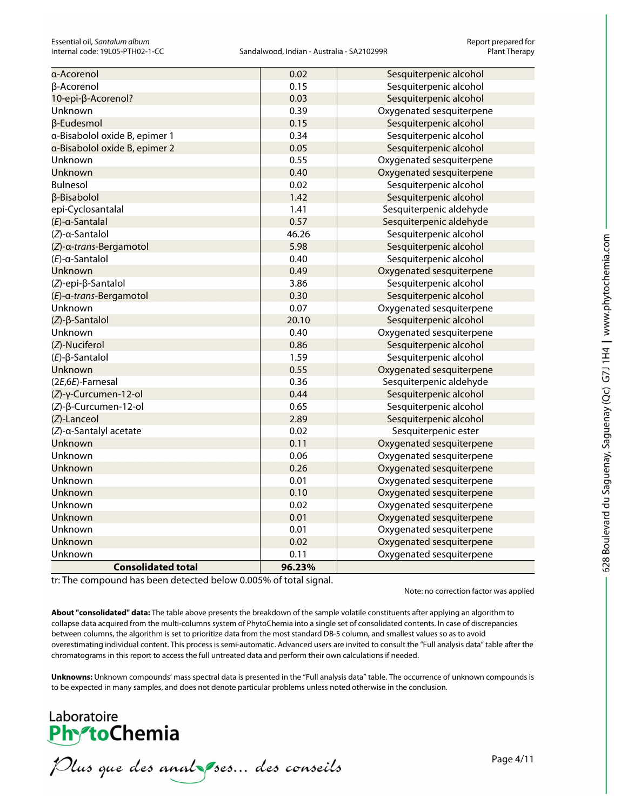| <b>Consolidated total</b>     | 96.23% |                          |
|-------------------------------|--------|--------------------------|
| Unknown                       | 0.11   | Oxygenated sesquiterpene |
| Unknown                       | 0.02   | Oxygenated sesquiterpene |
| Unknown                       | 0.01   | Oxygenated sesquiterpene |
| <b>Unknown</b>                | 0.01   | Oxygenated sesquiterpene |
| Unknown                       | 0.02   | Oxygenated sesquiterpene |
| Unknown                       | 0.10   | Oxygenated sesquiterpene |
| Unknown                       | 0.01   | Oxygenated sesquiterpene |
| Unknown                       | 0.26   | Oxygenated sesquiterpene |
| Unknown                       | 0.06   | Oxygenated sesquiterpene |
| <b>Unknown</b>                | 0.11   | Oxygenated sesquiterpene |
| (Z)-α-Santalyl acetate        | 0.02   | Sesquiterpenic ester     |
| (Z)-Lanceol                   | 2.89   | Sesquiterpenic alcohol   |
| (Z)-β-Curcumen-12-ol          | 0.65   | Sesquiterpenic alcohol   |
| (Z)-γ-Curcumen-12-ol          | 0.44   | Sesquiterpenic alcohol   |
| (2E,6E)-Farnesal              | 0.36   | Sesquiterpenic aldehyde  |
| <b>Unknown</b>                | 0.55   | Oxygenated sesquiterpene |
| $(E)$ - $\beta$ -Santalol     | 1.59   | Sesquiterpenic alcohol   |
| (Z)-Nuciferol                 | 0.86   | Sesquiterpenic alcohol   |
| Unknown                       | 0.40   | Oxygenated sesquiterpene |
| $(Z)$ - $\beta$ -Santalol     | 20.10  | Sesquiterpenic alcohol   |
| Unknown                       | 0.07   | Oxygenated sesquiterpene |
| (E)-a-trans-Bergamotol        | 0.30   | Sesquiterpenic alcohol   |
| (Z)-epi-β-Santalol            | 3.86   | Sesquiterpenic alcohol   |
| <b>Unknown</b>                | 0.49   | Oxygenated sesquiterpene |
| $(E)$ -a-Santalol             | 0.40   | Sesquiterpenic alcohol   |
| (Z)-a-trans-Bergamotol        | 5.98   | Sesquiterpenic alcohol   |
| $(Z)$ -a-Santalol             | 46.26  | Sesquiterpenic alcohol   |
| $(E)$ -a-Santalal             | 0.57   | Sesquiterpenic aldehyde  |
| epi-Cyclosantalal             | 1.41   | Sesquiterpenic aldehyde  |
| β-Bisabolol                   | 1.42   | Sesquiterpenic alcohol   |
| <b>Bulnesol</b>               | 0.02   | Sesquiterpenic alcohol   |
| Unknown                       | 0.40   | Oxygenated sesquiterpene |
| Unknown                       | 0.55   | Oxygenated sesquiterpene |
| a-Bisabolol oxide B, epimer 2 | 0.05   | Sesquiterpenic alcohol   |
| a-Bisabolol oxide B, epimer 1 | 0.34   | Sesquiterpenic alcohol   |
| β-Eudesmol                    | 0.15   | Sesquiterpenic alcohol   |
| Unknown                       | 0.39   | Oxygenated sesquiterpene |
| 10-epi-β-Acorenol?            | 0.03   | Sesquiterpenic alcohol   |
| β-Acorenol                    | 0.15   | Sesquiterpenic alcohol   |
| α-Acorenol                    | 0.02   | Sesquiterpenic alcohol   |

tr: The compound has been detected below 0.005% of total signal.

Note: no correction factor was applied

**About "consolidated" data:** The table above presents the breakdown of the sample volatile constituents after applying an algorithm to collapse data acquired from the multi-columns system of PhytoChemia into a single set of consolidated contents. In case of discrepancies between columns, the algorithm is set to prioritize data from the most standard DB-5 column, and smallest values so as to avoid overestimating individual content. This process is semi-automatic. Advanced users are invited to consult the "Full analysis data" table after the chromatograms in this report to access the full untreated data and perform their own calculations if needed.

**Unknowns:** Unknown compounds' mass spectral data is presented in the "Full analysis data" table. The occurrence of unknown compounds is to be expected in many samples, and does not denote particular problems unless noted otherwise in the conclusion.

## Laboratoire **PhytoChemia**

Plus que des analzes... des conseils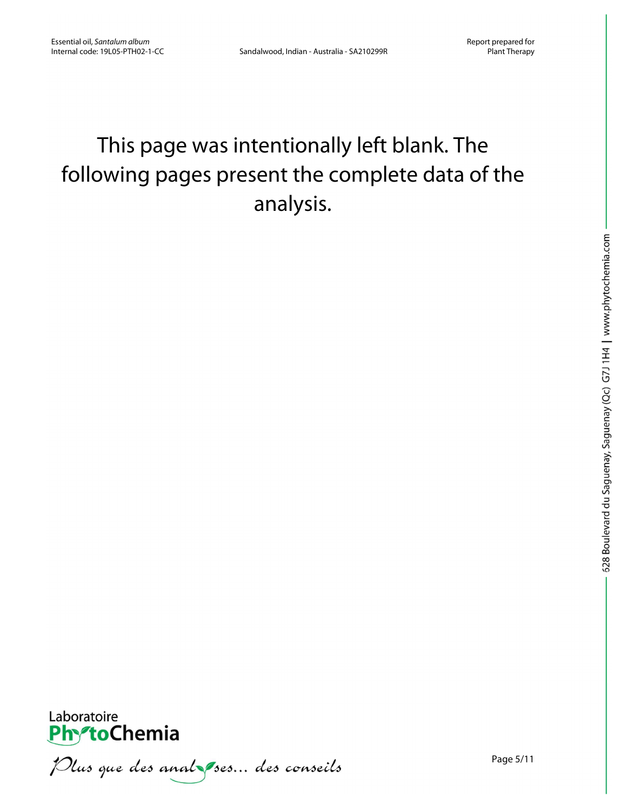# This page was intentionally left blank. The following pages present the complete data of the analysis.



Plus que des anal ses... des conseils

Page 5/11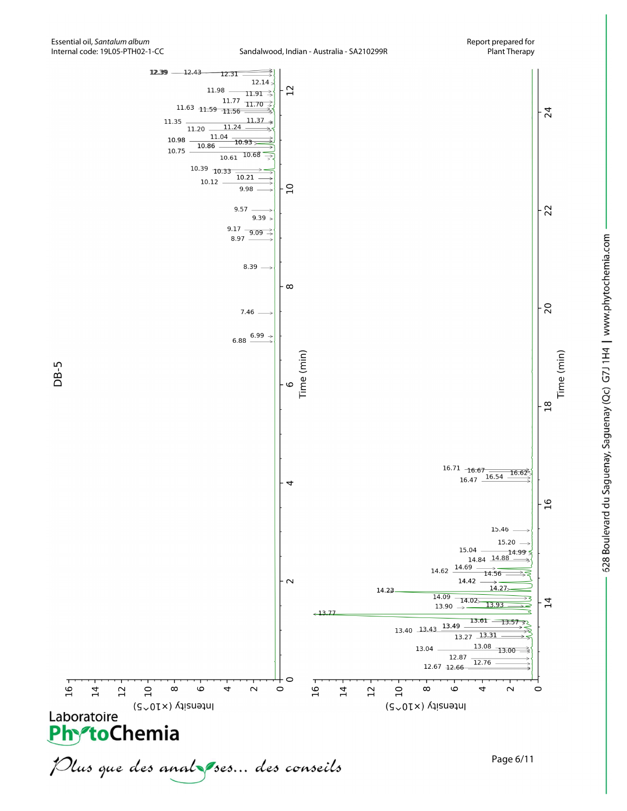

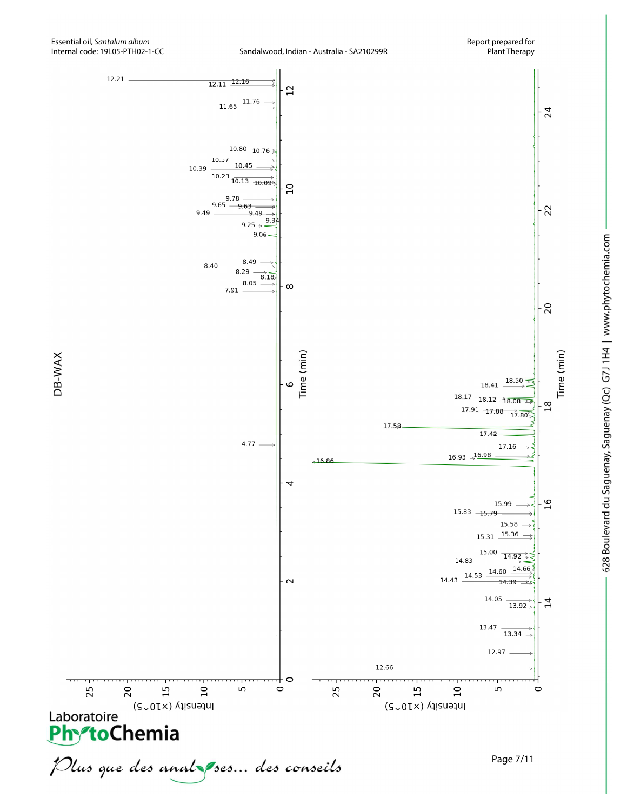

12.66

20

 $\overline{15}$ 

Intensity (x10<sup>~5)</sup>

 $\overline{a}$ 

C

 $\circ$ 

25



25

20

Laboratoire (SvOTX) A

 $15$ 

Intensity (x10<sup>~5</sup>)

 $\overline{10}$ 

Plus que des analzes... des conseils

 $\mathsf{L}\Omega$ 



Time (min)

Page 7/11

 $\circ$ 

LN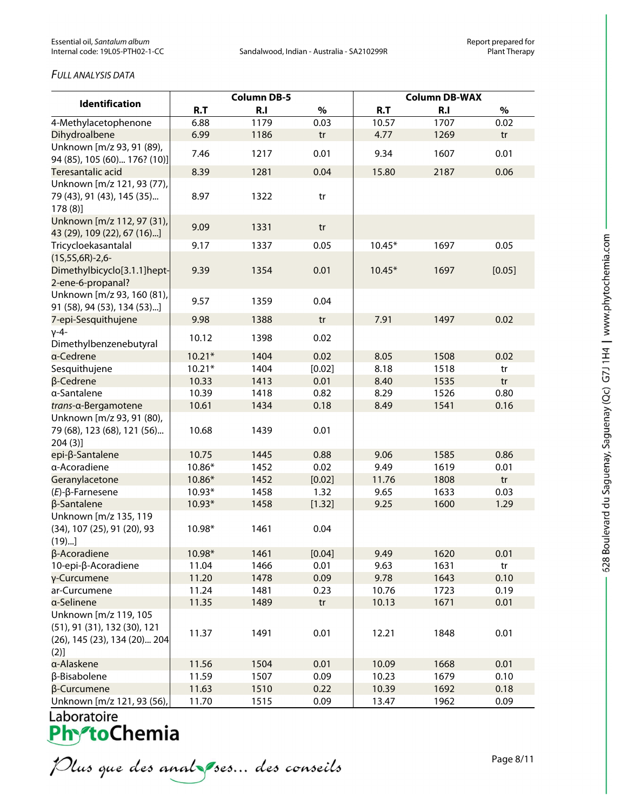#### *FULL ANALYSIS DATA*

|                                                                                               | <b>Column DB-5</b> |                |        | <b>Column DB-WAX</b> |                |        |
|-----------------------------------------------------------------------------------------------|--------------------|----------------|--------|----------------------|----------------|--------|
| <b>Identification</b>                                                                         | R.T                | R <sub>1</sub> | $\%$   | R.T                  | R <sub>1</sub> | $\%$   |
| 4-Methylacetophenone                                                                          | 6.88               | 1179           | 0.03   | 10.57                | 1707           | 0.02   |
| Dihydroalbene                                                                                 | 6.99               | 1186           | tr     | 4.77                 | 1269           | tr     |
| Unknown [m/z 93, 91 (89),<br>94 (85), 105 (60) 176? (10)]                                     | 7.46               | 1217           | 0.01   | 9.34                 | 1607           | 0.01   |
| Teresantalic acid                                                                             | 8.39               | 1281           | 0.04   | 15.80                | 2187           | 0.06   |
| Unknown [m/z 121, 93 (77),                                                                    |                    |                |        |                      |                |        |
| 79 (43), 91 (43), 145 (35)<br>178(8)                                                          | 8.97               | 1322           | tr     |                      |                |        |
| Unknown [m/z 112, 97 (31),<br>43 (29), 109 (22), 67 (16)]                                     | 9.09               | 1331           | tr     |                      |                |        |
| Tricycloekasantalal                                                                           | 9.17               | 1337           | 0.05   | $10.45*$             | 1697           | 0.05   |
| $(15,55,6R)-2,6-$<br>Dimethylbicyclo[3.1.1]hept-<br>2-ene-6-propanal?                         | 9.39               | 1354           | 0.01   | $10.45*$             | 1697           | [0.05] |
| Unknown [m/z 93, 160 (81),<br>91 (58), 94 (53), 134 (53)]                                     | 9.57               | 1359           | 0.04   |                      |                |        |
| 7-epi-Sesquithujene                                                                           | 9.98               | 1388           | tr     | 7.91                 | 1497           | 0.02   |
| $V - 4 -$<br>Dimethylbenzenebutyral                                                           | 10.12              | 1398           | 0.02   |                      |                |        |
| a-Cedrene                                                                                     | $10.21*$           | 1404           | 0.02   | 8.05                 | 1508           | 0.02   |
| Sesquithujene                                                                                 | $10.21*$           | 1404           | [0.02] | 8.18                 | 1518           | tr     |
| β-Cedrene                                                                                     | 10.33              | 1413           | 0.01   | 8.40                 | 1535           | tr     |
| α-Santalene                                                                                   | 10.39              | 1418           | 0.82   | 8.29                 | 1526           | 0.80   |
| trans-a-Bergamotene                                                                           | 10.61              | 1434           | 0.18   | 8.49                 | 1541           | 0.16   |
| Unknown [m/z 93, 91 (80),<br>79 (68), 123 (68), 121 (56)<br>204(3)                            | 10.68              | 1439           | 0.01   |                      |                |        |
| epi-β-Santalene                                                                               | 10.75              | 1445           | 0.88   | 9.06                 | 1585           | 0.86   |
| a-Acoradiene                                                                                  | 10.86*             | 1452           | 0.02   | 9.49                 | 1619           | 0.01   |
| Geranylacetone                                                                                | 10.86*             | 1452           | [0.02] | 11.76                | 1808           | tr     |
| $(E)$ -β-Farnesene                                                                            | $10.93*$           | 1458           | 1.32   | 9.65                 | 1633           | 0.03   |
| β-Santalene                                                                                   | 10.93*             | 1458           | [1.32] | 9.25                 | 1600           | 1.29   |
| Unknown [m/z 135, 119<br>(34), 107 (25), 91 (20), 93<br>(19)                                  | 10.98*             | 1461           | 0.04   |                      |                |        |
| β-Acoradiene                                                                                  | 10.98*             | 1461           | [0.04] | 9.49                 | 1620           | 0.01   |
| 10-epi-β-Acoradiene                                                                           | 11.04              | 1466           | 0.01   | 9.63                 | 1631           | tr     |
| γ-Curcumene                                                                                   | 11.20              | 1478           | 0.09   | 9.78                 | 1643           | 0.10   |
| ar-Curcumene                                                                                  | 11.24              | 1481           | 0.23   | 10.76                | 1723           | 0.19   |
| a-Selinene                                                                                    | 11.35              | 1489           | tr     | 10.13                | 1671           | 0.01   |
| Unknown [m/z 119, 105<br>(51), 91 (31), 132 (30), 121<br>(26), 145 (23), 134 (20) 204<br>(2)] | 11.37              | 1491           | 0.01   | 12.21                | 1848           | 0.01   |
| a-Alaskene                                                                                    | 11.56              | 1504           | 0.01   | 10.09                | 1668           | 0.01   |
| β-Bisabolene                                                                                  | 11.59              | 1507           | 0.09   | 10.23                | 1679           | 0.10   |
| β-Curcumene                                                                                   | 11.63              | 1510           | 0.22   | 10.39                | 1692           | 0.18   |
| Unknown [m/z 121, 93 (56),                                                                    | 11.70              | 1515           | 0.09   | 13.47                | 1962           | 0.09   |

Plus que des analzes... des conseils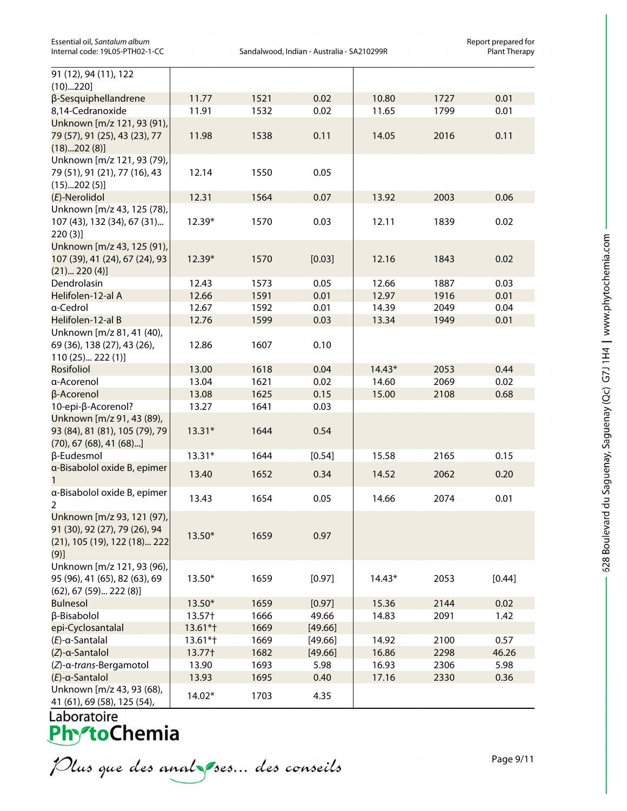| Essential oil, Santalum album   |
|---------------------------------|
| Internal code: 19L05-PTH02-1-CC |

Report prepared for<br>Essential of the album album album album album Report prepared for<br>Plant Therapy Sandalwood, Indian - Australia - SA210299R

| 91 (12), 94 (11), 122                                                                               |          |      |         |          |      |        |
|-----------------------------------------------------------------------------------------------------|----------|------|---------|----------|------|--------|
| (10)220]                                                                                            |          |      |         |          |      |        |
| β-Sesquiphellandrene                                                                                | 11.77    | 1521 | 0.02    | 10.80    | 1727 | 0.01   |
| 8,14-Cedranoxide                                                                                    | 11.91    | 1532 | 0.02    | 11.65    | 1799 | 0.01   |
| Unknown [m/z 121, 93 (91),<br>79 (57), 91 (25), 43 (23), 77<br>(18)202(8)]                          | 11.98    | 1538 | 0.11    | 14.05    | 2016 | 0.11   |
| Unknown [m/z 121, 93 (79),<br>79 (51), 91 (21), 77 (16), 43<br>(15)202(5)]                          | 12.14    | 1550 | 0.05    |          |      |        |
| (E)-Nerolidol                                                                                       | 12.31    | 1564 | 0.07    | 13.92    | 2003 | 0.06   |
| Unknown [m/z 43, 125 (78),<br>107 (43), 132 (34), 67 (31)<br>220(3)                                 | 12.39*   | 1570 | 0.03    | 12.11    | 1839 | 0.02   |
| Unknown [m/z 43, 125 (91),<br>107 (39), 41 (24), 67 (24), 93<br>(21) 220(4)]                        | 12.39*   | 1570 | [0.03]  | 12.16    | 1843 | 0.02   |
| Dendrolasin                                                                                         | 12.43    | 1573 | 0.05    | 12.66    | 1887 | 0.03   |
| Helifolen-12-al A                                                                                   | 12.66    | 1591 | 0.01    | 12.97    | 1916 | 0.01   |
| a-Cedrol                                                                                            | 12.67    | 1592 | 0.01    | 14.39    | 2049 | 0.04   |
| Helifolen-12-al B                                                                                   | 12.76    | 1599 | 0.03    | 13.34    | 1949 | 0.01   |
| Unknown [m/z 81, 41 (40),<br>69 (36), 138 (27), 43 (26),<br>110 (25) 222 (1)]                       | 12.86    | 1607 | 0.10    |          |      |        |
| Rosifoliol                                                                                          | 13.00    | 1618 | 0.04    | $14.43*$ | 2053 | 0.44   |
| a-Acorenol                                                                                          | 13.04    | 1621 | 0.02    | 14.60    | 2069 | 0.02   |
| β-Acorenol                                                                                          | 13.08    | 1625 | 0.15    | 15.00    | 2108 | 0.68   |
| 10-epi-β-Acorenol?                                                                                  | 13.27    | 1641 | 0.03    |          |      |        |
| Unknown [m/z 91, 43 (89),<br>93 (84), 81 (81), 105 (79), 79<br>$(70)$ , 67 $(68)$ , 41 $(68)$ ]     | $13.31*$ | 1644 | 0.54    |          |      |        |
| β-Eudesmol                                                                                          | $13.31*$ | 1644 | [0.54]  | 15.58    | 2165 | 0.15   |
| a-Bisabolol oxide B, epimer                                                                         |          |      |         |          |      |        |
| 1                                                                                                   | 13.40    | 1652 | 0.34    | 14.52    | 2062 | 0.20   |
| a-Bisabolol oxide B, epimer<br>2                                                                    | 13.43    | 1654 | 0.05    | 14.66    | 2074 | 0.01   |
| Unknown [m/z 93, 121 (97),<br>91 (30), 92 (27), 79 (26), 94<br>(21), 105 (19), 122 (18) 222<br>(9)] | 13.50*   | 1659 | 0.97    |          |      |        |
| Unknown [m/z 121, 93 (96),<br>95 (96), 41 (65), 82 (63), 69<br>$(62)$ , 67 $(59)$ 222 $(8)$ ]       | $13.50*$ | 1659 | [0.97]  | $14.43*$ | 2053 | [0.44] |
| <b>Bulnesol</b>                                                                                     | 13.50*   | 1659 | [0.97]  | 15.36    | 2144 | 0.02   |
| β-Bisabolol                                                                                         | 13.57†   | 1666 | 49.66   | 14.83    | 2091 | 1.42   |
| epi-Cyclosantalal                                                                                   | 13.61*†  | 1669 | [49.66] |          |      |        |
| $(E)$ -a-Santalal                                                                                   | 13.61*†  | 1669 | [49.66] | 14.92    | 2100 | 0.57   |
| (Z)-a-Santalol                                                                                      | 13.77†   | 1682 | [49.66] | 16.86    | 2298 | 46.26  |
| (Z)-a-trans-Bergamotol                                                                              | 13.90    | 1693 | 5.98    | 16.93    | 2306 | 5.98   |
| $(E)$ -a-Santalol                                                                                   | 13.93    | 1695 | 0.40    | 17.16    | 2330 | 0.36   |
| Unknown [m/z 43, 93 (68),<br>41 (61), 69 (58), 125 (54),                                            | 14.02*   | 1703 | 4.35    |          |      |        |

Laboratoire<br>**Phy<sup>s</sup>toChemia** 

Plus que des analzes... des conseils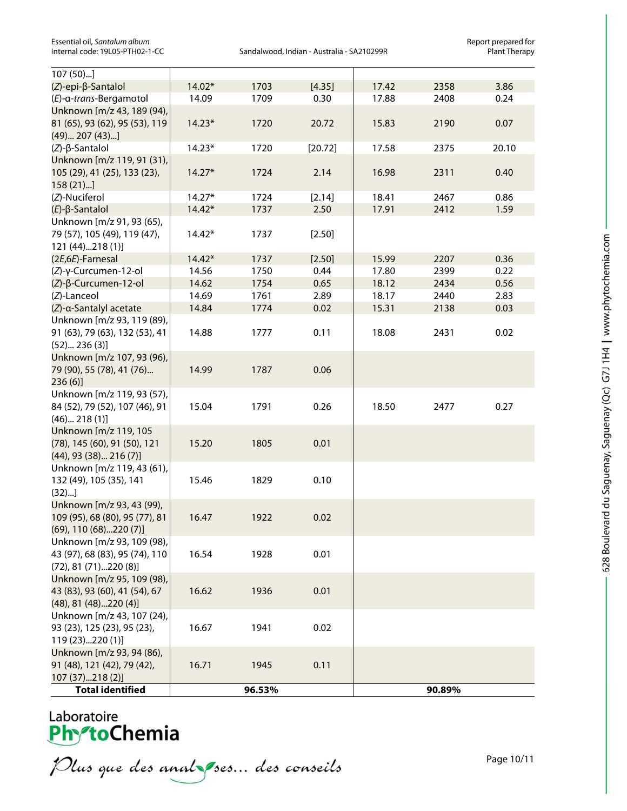Sandalwood, Indian - Australia - SA210299R

| $107(50)$ ]                                           |          |        |         |       |        |       |
|-------------------------------------------------------|----------|--------|---------|-------|--------|-------|
| (Z)-epi-β-Santalol                                    | 14.02*   | 1703   | [4.35]  | 17.42 | 2358   | 3.86  |
| (E)-α-trans-Bergamotol                                | 14.09    | 1709   | 0.30    | 17.88 | 2408   | 0.24  |
| Unknown [m/z 43, 189 (94),                            |          |        |         |       |        |       |
| 81 (65), 93 (62), 95 (53), 119                        | $14.23*$ | 1720   | 20.72   | 15.83 | 2190   | 0.07  |
| (49) 207 (43)                                         |          |        |         |       |        |       |
| $(Z)$ - $\beta$ -Santalol                             | $14.23*$ | 1720   | [20.72] | 17.58 | 2375   | 20.10 |
| Unknown [m/z 119, 91 (31),                            |          |        |         |       |        |       |
| 105 (29), 41 (25), 133 (23),                          | $14.27*$ | 1724   | 2.14    | 16.98 | 2311   | 0.40  |
| $158(21)$ ]                                           |          |        |         |       |        |       |
| (Z)-Nuciferol                                         | $14.27*$ | 1724   | [2.14]  | 18.41 | 2467   | 0.86  |
| $(E)$ - $\beta$ -Santalol                             | $14.42*$ | 1737   | 2.50    | 17.91 | 2412   | 1.59  |
| Unknown [m/z 91, 93 (65),                             |          |        |         |       |        |       |
| 79 (57), 105 (49), 119 (47),                          | $14.42*$ | 1737   | [2.50]  |       |        |       |
| 121 (44)218 (1)]                                      |          |        |         |       |        |       |
| (2E,6E)-Farnesal                                      | $14.42*$ | 1737   | [2.50]  | 15.99 | 2207   | 0.36  |
| (Z)-γ-Curcumen-12-ol                                  | 14.56    | 1750   | 0.44    | 17.80 | 2399   | 0.22  |
| (Z)-β-Curcumen-12-ol                                  | 14.62    | 1754   | 0.65    | 18.12 | 2434   | 0.56  |
| (Z)-Lanceol                                           | 14.69    | 1761   | 2.89    | 18.17 | 2440   | 2.83  |
| (Z)-a-Santalyl acetate                                | 14.84    | 1774   | 0.02    | 15.31 | 2138   | 0.03  |
| Unknown [m/z 93, 119 (89),                            |          |        |         |       |        |       |
| 91 (63), 79 (63), 132 (53), 41                        | 14.88    | 1777   | 0.11    | 18.08 | 2431   | 0.02  |
| (52) 236(3)]                                          |          |        |         |       |        |       |
| Unknown [m/z 107, 93 (96),                            |          |        |         |       |        |       |
| 79 (90), 55 (78), 41 (76)                             | 14.99    | 1787   | 0.06    |       |        |       |
| 236(6)                                                |          |        |         |       |        |       |
| Unknown [m/z 119, 93 (57),                            |          |        |         |       |        |       |
| 84 (52), 79 (52), 107 (46), 91                        | 15.04    | 1791   | 0.26    | 18.50 | 2477   | 0.27  |
| (46) 218(1)]                                          |          |        |         |       |        |       |
| Unknown [m/z 119, 105<br>(78), 145 (60), 91 (50), 121 | 15.20    | 1805   | 0.01    |       |        |       |
| $(44)$ , 93 $(38)$ 216 $(7)$ ]                        |          |        |         |       |        |       |
| Unknown [m/z 119, 43 (61),                            |          |        |         |       |        |       |
| 132 (49), 105 (35), 141                               | 15.46    | 1829   | 0.10    |       |        |       |
| (32)                                                  |          |        |         |       |        |       |
| Unknown [m/z 93, 43 (99),                             |          |        |         |       |        |       |
| 109 (95), 68 (80), 95 (77), 81                        | 16.47    | 1922   | 0.02    |       |        |       |
| $(69)$ , 110 $(68)$ 220 $(7)$ ]                       |          |        |         |       |        |       |
| Unknown [m/z 93, 109 (98),                            |          |        |         |       |        |       |
| 43 (97), 68 (83), 95 (74), 110                        | 16.54    | 1928   | 0.01    |       |        |       |
| $(72), 81 (71)$ 220 $(8)$ ]                           |          |        |         |       |        |       |
| Unknown [m/z 95, 109 (98),                            |          |        |         |       |        |       |
| 43 (83), 93 (60), 41 (54), 67                         | 16.62    | 1936   | 0.01    |       |        |       |
| $(48)$ , 81 $(48)$ 220 $(4)$ ]                        |          |        |         |       |        |       |
| Unknown [m/z 43, 107 (24),                            |          |        |         |       |        |       |
| 93 (23), 125 (23), 95 (23),                           | 16.67    | 1941   | 0.02    |       |        |       |
| 119 (23)220 (1)]                                      |          |        |         |       |        |       |
| Unknown [m/z 93, 94 (86),                             |          |        |         |       |        |       |
| 91 (48), 121 (42), 79 (42),                           | 16.71    | 1945   | 0.11    |       |        |       |
| 107 (37)218 (2)]                                      |          |        |         |       |        |       |
| <b>Total identified</b>                               |          | 96.53% |         |       | 90.89% |       |
|                                                       |          |        |         |       |        |       |

Plus que des analzes... des conseils

Page 10/11